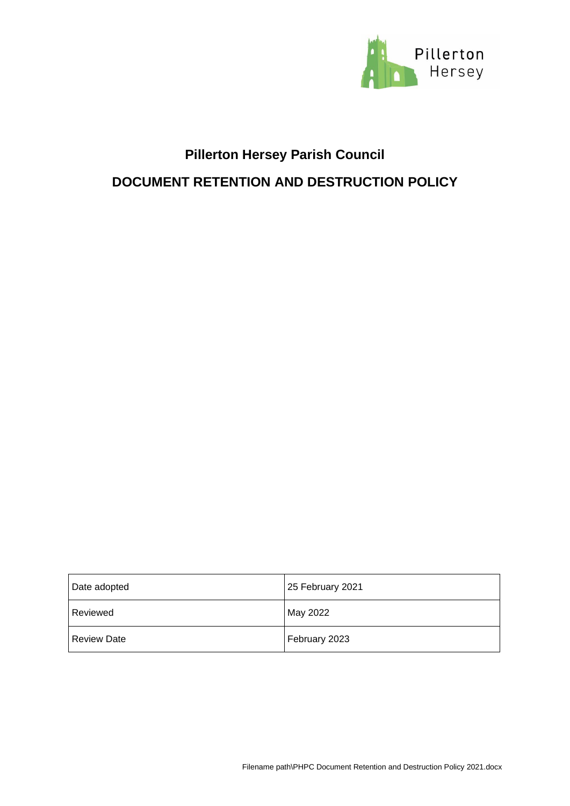

## **Pillerton Hersey Parish Council**

### **DOCUMENT RETENTION AND DESTRUCTION POLICY**

| Date adopted       | 25 February 2021 |
|--------------------|------------------|
| Reviewed           | May 2022         |
| <b>Review Date</b> | February 2023    |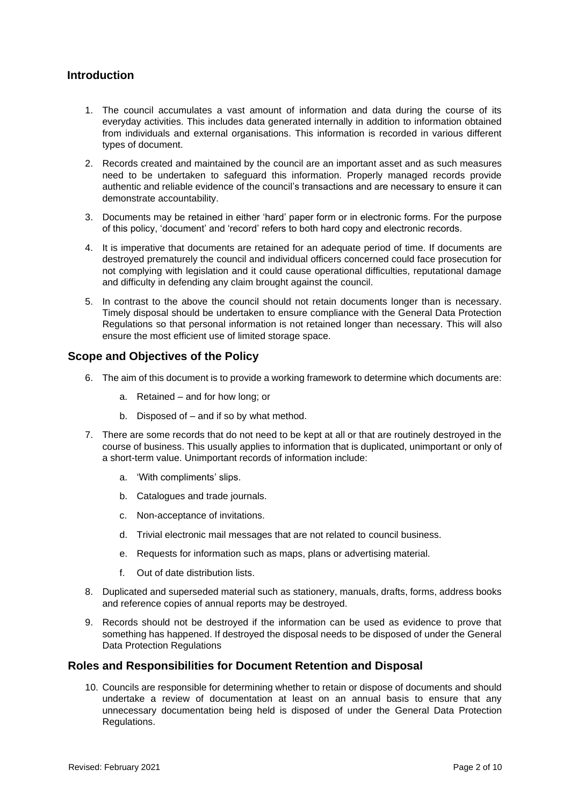#### **Introduction**

- 1. The council accumulates a vast amount of information and data during the course of its everyday activities. This includes data generated internally in addition to information obtained from individuals and external organisations. This information is recorded in various different types of document.
- 2. Records created and maintained by the council are an important asset and as such measures need to be undertaken to safeguard this information. Properly managed records provide authentic and reliable evidence of the council's transactions and are necessary to ensure it can demonstrate accountability.
- 3. Documents may be retained in either 'hard' paper form or in electronic forms. For the purpose of this policy, 'document' and 'record' refers to both hard copy and electronic records.
- 4. It is imperative that documents are retained for an adequate period of time. If documents are destroyed prematurely the council and individual officers concerned could face prosecution for not complying with legislation and it could cause operational difficulties, reputational damage and difficulty in defending any claim brought against the council.
- 5. In contrast to the above the council should not retain documents longer than is necessary. Timely disposal should be undertaken to ensure compliance with the General Data Protection Regulations so that personal information is not retained longer than necessary. This will also ensure the most efficient use of limited storage space.

#### **Scope and Objectives of the Policy**

- 6. The aim of this document is to provide a working framework to determine which documents are:
	- a. Retained and for how long; or
	- b. Disposed of and if so by what method.
- 7. There are some records that do not need to be kept at all or that are routinely destroyed in the course of business. This usually applies to information that is duplicated, unimportant or only of a short-term value. Unimportant records of information include:
	- a. 'With compliments' slips.
	- b. Catalogues and trade journals.
	- c. Non-acceptance of invitations.
	- d. Trivial electronic mail messages that are not related to council business.
	- e. Requests for information such as maps, plans or advertising material.
	- f. Out of date distribution lists.
- 8. Duplicated and superseded material such as stationery, manuals, drafts, forms, address books and reference copies of annual reports may be destroyed.
- 9. Records should not be destroyed if the information can be used as evidence to prove that something has happened. If destroyed the disposal needs to be disposed of under the General Data Protection Regulations

#### **Roles and Responsibilities for Document Retention and Disposal**

10. Councils are responsible for determining whether to retain or dispose of documents and should undertake a review of documentation at least on an annual basis to ensure that any unnecessary documentation being held is disposed of under the General Data Protection Regulations.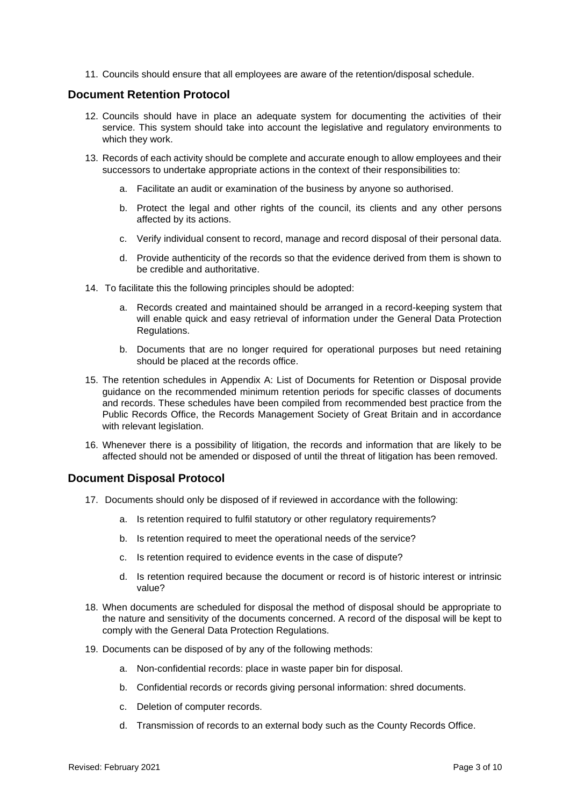11. Councils should ensure that all employees are aware of the retention/disposal schedule.

#### **Document Retention Protocol**

- 12. Councils should have in place an adequate system for documenting the activities of their service. This system should take into account the legislative and regulatory environments to which they work.
- 13. Records of each activity should be complete and accurate enough to allow employees and their successors to undertake appropriate actions in the context of their responsibilities to:
	- a. Facilitate an audit or examination of the business by anyone so authorised.
	- b. Protect the legal and other rights of the council, its clients and any other persons affected by its actions.
	- c. Verify individual consent to record, manage and record disposal of their personal data.
	- d. Provide authenticity of the records so that the evidence derived from them is shown to be credible and authoritative.
- 14. To facilitate this the following principles should be adopted:
	- a. Records created and maintained should be arranged in a record-keeping system that will enable quick and easy retrieval of information under the General Data Protection Regulations.
	- b. Documents that are no longer required for operational purposes but need retaining should be placed at the records office.
- 15. The retention schedules in Appendix A: List of Documents for Retention or Disposal provide guidance on the recommended minimum retention periods for specific classes of documents and records. These schedules have been compiled from recommended best practice from the Public Records Office, the Records Management Society of Great Britain and in accordance with relevant legislation.
- 16. Whenever there is a possibility of litigation, the records and information that are likely to be affected should not be amended or disposed of until the threat of litigation has been removed.

#### **Document Disposal Protocol**

- 17. Documents should only be disposed of if reviewed in accordance with the following:
	- a. Is retention required to fulfil statutory or other regulatory requirements?
	- b. Is retention required to meet the operational needs of the service?
	- c. Is retention required to evidence events in the case of dispute?
	- d. Is retention required because the document or record is of historic interest or intrinsic value?
- 18. When documents are scheduled for disposal the method of disposal should be appropriate to the nature and sensitivity of the documents concerned. A record of the disposal will be kept to comply with the General Data Protection Regulations.
- 19. Documents can be disposed of by any of the following methods:
	- a. Non-confidential records: place in waste paper bin for disposal.
	- b. Confidential records or records giving personal information: shred documents.
	- c. Deletion of computer records.
	- d. Transmission of records to an external body such as the County Records Office.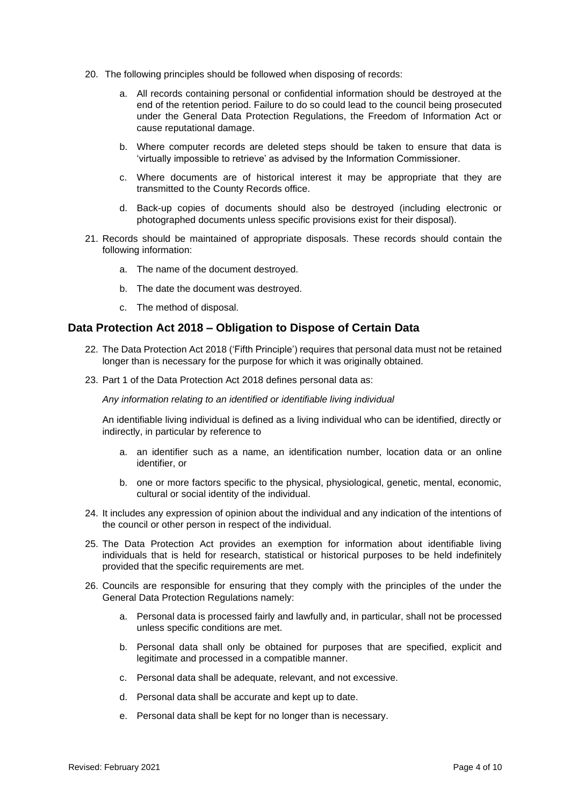- 20. The following principles should be followed when disposing of records:
	- a. All records containing personal or confidential information should be destroyed at the end of the retention period. Failure to do so could lead to the council being prosecuted under the General Data Protection Regulations, the Freedom of Information Act or cause reputational damage.
	- b. Where computer records are deleted steps should be taken to ensure that data is 'virtually impossible to retrieve' as advised by the Information Commissioner.
	- c. Where documents are of historical interest it may be appropriate that they are transmitted to the County Records office.
	- d. Back-up copies of documents should also be destroyed (including electronic or photographed documents unless specific provisions exist for their disposal).
- 21. Records should be maintained of appropriate disposals. These records should contain the following information:
	- a. The name of the document destroyed.
	- b. The date the document was destroyed.
	- c. The method of disposal.

#### **Data Protection Act 2018 – Obligation to Dispose of Certain Data**

- 22. The Data Protection Act 2018 ('Fifth Principle') requires that personal data must not be retained longer than is necessary for the purpose for which it was originally obtained.
- 23. Part 1 of the Data Protection Act 2018 defines personal data as:

*Any information relating to an identified or identifiable living individual*

An identifiable living individual is defined as a living individual who can be identified, directly or indirectly, in particular by reference to

- a. an identifier such as a name, an identification number, location data or an online identifier, or
- b. one or more factors specific to the physical, physiological, genetic, mental, economic, cultural or social identity of the individual.
- 24. It includes any expression of opinion about the individual and any indication of the intentions of the council or other person in respect of the individual.
- 25. The Data Protection Act provides an exemption for information about identifiable living individuals that is held for research, statistical or historical purposes to be held indefinitely provided that the specific requirements are met.
- 26. Councils are responsible for ensuring that they comply with the principles of the under the General Data Protection Regulations namely:
	- a. Personal data is processed fairly and lawfully and, in particular, shall not be processed unless specific conditions are met.
	- b. Personal data shall only be obtained for purposes that are specified, explicit and legitimate and processed in a compatible manner.
	- c. Personal data shall be adequate, relevant, and not excessive.
	- d. Personal data shall be accurate and kept up to date.
	- e. Personal data shall be kept for no longer than is necessary.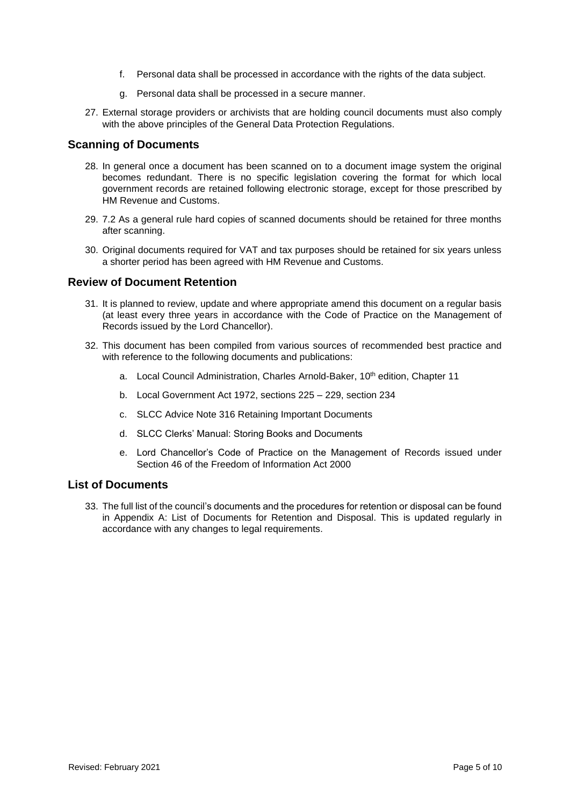- f. Personal data shall be processed in accordance with the rights of the data subject.
- g. Personal data shall be processed in a secure manner.
- 27. External storage providers or archivists that are holding council documents must also comply with the above principles of the General Data Protection Regulations.

#### **Scanning of Documents**

- 28. In general once a document has been scanned on to a document image system the original becomes redundant. There is no specific legislation covering the format for which local government records are retained following electronic storage, except for those prescribed by HM Revenue and Customs.
- 29. 7.2 As a general rule hard copies of scanned documents should be retained for three months after scanning.
- 30. Original documents required for VAT and tax purposes should be retained for six years unless a shorter period has been agreed with HM Revenue and Customs.

#### **Review of Document Retention**

- 31. It is planned to review, update and where appropriate amend this document on a regular basis (at least every three years in accordance with the Code of Practice on the Management of Records issued by the Lord Chancellor).
- 32. This document has been compiled from various sources of recommended best practice and with reference to the following documents and publications:
	- a. Local Council Administration, Charles Arnold-Baker, 10<sup>th</sup> edition, Chapter 11
	- b. Local Government Act 1972, sections 225 229, section 234
	- c. SLCC Advice Note 316 Retaining Important Documents
	- d. SLCC Clerks' Manual: Storing Books and Documents
	- e. Lord Chancellor's Code of Practice on the Management of Records issued under Section 46 of the Freedom of Information Act 2000

#### **List of Documents**

33. The full list of the council's documents and the procedures for retention or disposal can be found in Appendix A: List of Documents for Retention and Disposal. This is updated regularly in accordance with any changes to legal requirements.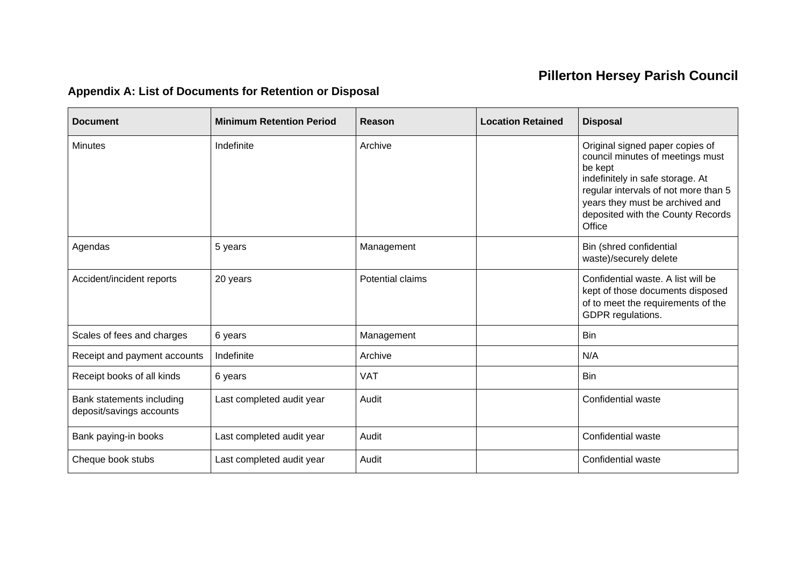# **Pillerton Hersey Parish Council**

## **Appendix A: List of Documents for Retention or Disposal**

| <b>Document</b>                                       | <b>Minimum Retention Period</b> | Reason           | <b>Location Retained</b> | <b>Disposal</b>                                                                                                                                                                                                                              |
|-------------------------------------------------------|---------------------------------|------------------|--------------------------|----------------------------------------------------------------------------------------------------------------------------------------------------------------------------------------------------------------------------------------------|
| <b>Minutes</b>                                        | Indefinite                      | Archive          |                          | Original signed paper copies of<br>council minutes of meetings must<br>be kept<br>indefinitely in safe storage. At<br>regular intervals of not more than 5<br>years they must be archived and<br>deposited with the County Records<br>Office |
| Agendas                                               | 5 years                         | Management       |                          | Bin (shred confidential<br>waste)/securely delete                                                                                                                                                                                            |
| Accident/incident reports                             | 20 years                        | Potential claims |                          | Confidential waste. A list will be<br>kept of those documents disposed<br>of to meet the requirements of the<br>GDPR regulations.                                                                                                            |
| Scales of fees and charges                            | 6 years                         | Management       |                          | <b>Bin</b>                                                                                                                                                                                                                                   |
| Receipt and payment accounts                          | Indefinite                      | Archive          |                          | N/A                                                                                                                                                                                                                                          |
| Receipt books of all kinds                            | 6 years                         | <b>VAT</b>       |                          | <b>Bin</b>                                                                                                                                                                                                                                   |
| Bank statements including<br>deposit/savings accounts | Last completed audit year       | Audit            |                          | Confidential waste                                                                                                                                                                                                                           |
| Bank paying-in books                                  | Last completed audit year       | Audit            |                          | Confidential waste                                                                                                                                                                                                                           |
| Cheque book stubs                                     | Last completed audit year       | Audit            |                          | Confidential waste                                                                                                                                                                                                                           |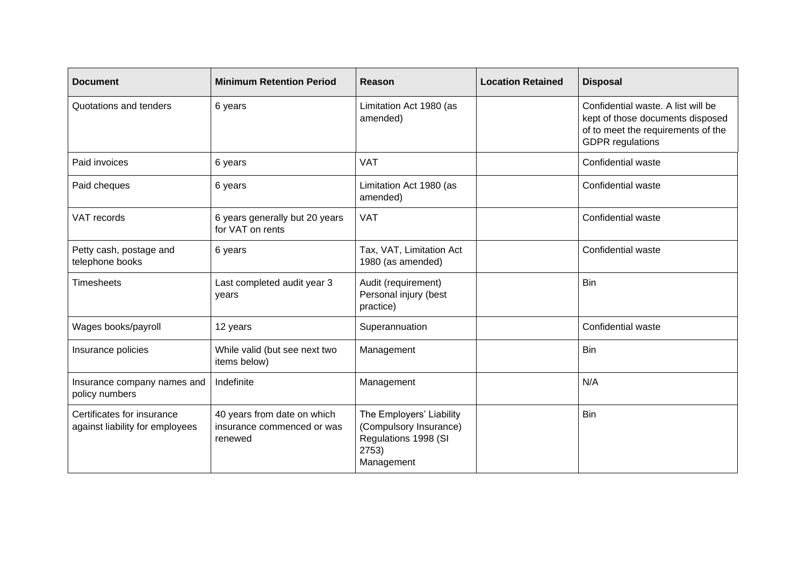| <b>Document</b>                                               | <b>Minimum Retention Period</b>                                      | Reason                                                                                            | <b>Location Retained</b> | <b>Disposal</b>                                                                                                                         |
|---------------------------------------------------------------|----------------------------------------------------------------------|---------------------------------------------------------------------------------------------------|--------------------------|-----------------------------------------------------------------------------------------------------------------------------------------|
| Quotations and tenders                                        | 6 years                                                              | Limitation Act 1980 (as<br>amended)                                                               |                          | Confidential waste. A list will be<br>kept of those documents disposed<br>of to meet the requirements of the<br><b>GDPR</b> regulations |
| Paid invoices                                                 | 6 years                                                              | <b>VAT</b>                                                                                        |                          | Confidential waste                                                                                                                      |
| Paid cheques                                                  | 6 years                                                              | Limitation Act 1980 (as<br>amended)                                                               |                          | Confidential waste                                                                                                                      |
| VAT records                                                   | 6 years generally but 20 years<br>for VAT on rents                   | <b>VAT</b>                                                                                        |                          | Confidential waste                                                                                                                      |
| Petty cash, postage and<br>telephone books                    | 6 years                                                              | Tax, VAT, Limitation Act<br>1980 (as amended)                                                     |                          | Confidential waste                                                                                                                      |
| <b>Timesheets</b>                                             | Last completed audit year 3<br>years                                 | Audit (requirement)<br>Personal injury (best<br>practice)                                         |                          | <b>Bin</b>                                                                                                                              |
| Wages books/payroll                                           | 12 years                                                             | Superannuation                                                                                    |                          | Confidential waste                                                                                                                      |
| Insurance policies                                            | While valid (but see next two<br>items below)                        | Management                                                                                        |                          | Bin                                                                                                                                     |
| Insurance company names and<br>policy numbers                 | Indefinite                                                           | Management                                                                                        |                          | N/A                                                                                                                                     |
| Certificates for insurance<br>against liability for employees | 40 years from date on which<br>insurance commenced or was<br>renewed | The Employers' Liability<br>(Compulsory Insurance)<br>Regulations 1998 (SI<br>2753)<br>Management |                          | Bin                                                                                                                                     |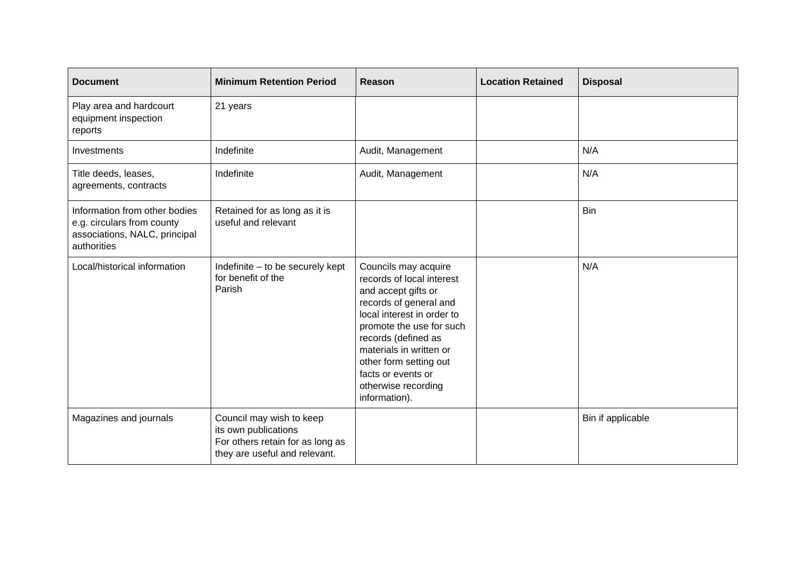| <b>Document</b>                                                                                             | <b>Minimum Retention Period</b>                                                                                       | Reason                                                                                                                                                                                                                                                                                                 | <b>Location Retained</b> | <b>Disposal</b>   |
|-------------------------------------------------------------------------------------------------------------|-----------------------------------------------------------------------------------------------------------------------|--------------------------------------------------------------------------------------------------------------------------------------------------------------------------------------------------------------------------------------------------------------------------------------------------------|--------------------------|-------------------|
| Play area and hardcourt<br>equipment inspection<br>reports                                                  | 21 years                                                                                                              |                                                                                                                                                                                                                                                                                                        |                          |                   |
| Investments                                                                                                 | Indefinite                                                                                                            | Audit, Management                                                                                                                                                                                                                                                                                      |                          | N/A               |
| Title deeds, leases,<br>agreements, contracts                                                               | Indefinite                                                                                                            | Audit, Management                                                                                                                                                                                                                                                                                      |                          | N/A               |
| Information from other bodies<br>e.g. circulars from county<br>associations, NALC, principal<br>authorities | Retained for as long as it is<br>useful and relevant                                                                  |                                                                                                                                                                                                                                                                                                        |                          | <b>Bin</b>        |
| Local/historical information                                                                                | Indefinite - to be securely kept<br>for benefit of the<br>Parish                                                      | Councils may acquire<br>records of local interest<br>and accept gifts or<br>records of general and<br>local interest in order to<br>promote the use for such<br>records (defined as<br>materials in written or<br>other form setting out<br>facts or events or<br>otherwise recording<br>information). |                          | N/A               |
| Magazines and journals                                                                                      | Council may wish to keep<br>its own publications<br>For others retain for as long as<br>they are useful and relevant. |                                                                                                                                                                                                                                                                                                        |                          | Bin if applicable |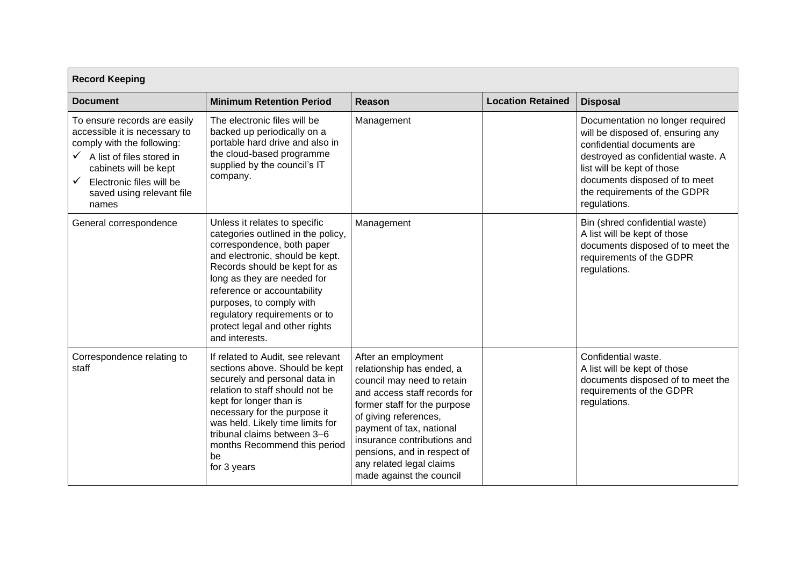| <b>Record Keeping</b>                                                                                                                                                                                                    |                                                                                                                                                                                                                                                                                                                                                      |                                                                                                                                                                                                                                                                                                                           |                          |                                                                                                                                                                                                                                                          |
|--------------------------------------------------------------------------------------------------------------------------------------------------------------------------------------------------------------------------|------------------------------------------------------------------------------------------------------------------------------------------------------------------------------------------------------------------------------------------------------------------------------------------------------------------------------------------------------|---------------------------------------------------------------------------------------------------------------------------------------------------------------------------------------------------------------------------------------------------------------------------------------------------------------------------|--------------------------|----------------------------------------------------------------------------------------------------------------------------------------------------------------------------------------------------------------------------------------------------------|
| <b>Document</b>                                                                                                                                                                                                          | <b>Minimum Retention Period</b>                                                                                                                                                                                                                                                                                                                      | <b>Reason</b>                                                                                                                                                                                                                                                                                                             | <b>Location Retained</b> | <b>Disposal</b>                                                                                                                                                                                                                                          |
| To ensure records are easily<br>accessible it is necessary to<br>comply with the following:<br>A list of files stored in<br>cabinets will be kept<br>Electronic files will be<br>✓<br>saved using relevant file<br>names | The electronic files will be<br>backed up periodically on a<br>portable hard drive and also in<br>the cloud-based programme<br>supplied by the council's IT<br>company.                                                                                                                                                                              | Management                                                                                                                                                                                                                                                                                                                |                          | Documentation no longer required<br>will be disposed of, ensuring any<br>confidential documents are<br>destroyed as confidential waste. A<br>list will be kept of those<br>documents disposed of to meet<br>the requirements of the GDPR<br>regulations. |
| General correspondence                                                                                                                                                                                                   | Unless it relates to specific<br>categories outlined in the policy,<br>correspondence, both paper<br>and electronic, should be kept.<br>Records should be kept for as<br>long as they are needed for<br>reference or accountability<br>purposes, to comply with<br>regulatory requirements or to<br>protect legal and other rights<br>and interests. | Management                                                                                                                                                                                                                                                                                                                |                          | Bin (shred confidential waste)<br>A list will be kept of those<br>documents disposed of to meet the<br>requirements of the GDPR<br>regulations.                                                                                                          |
| Correspondence relating to<br>staff                                                                                                                                                                                      | If related to Audit, see relevant<br>sections above. Should be kept<br>securely and personal data in<br>relation to staff should not be<br>kept for longer than is<br>necessary for the purpose it<br>was held. Likely time limits for<br>tribunal claims between 3-6<br>months Recommend this period<br>be<br>for 3 years                           | After an employment<br>relationship has ended, a<br>council may need to retain<br>and access staff records for<br>former staff for the purpose<br>of giving references,<br>payment of tax, national<br>insurance contributions and<br>pensions, and in respect of<br>any related legal claims<br>made against the council |                          | Confidential waste.<br>A list will be kept of those<br>documents disposed of to meet the<br>requirements of the GDPR<br>regulations.                                                                                                                     |